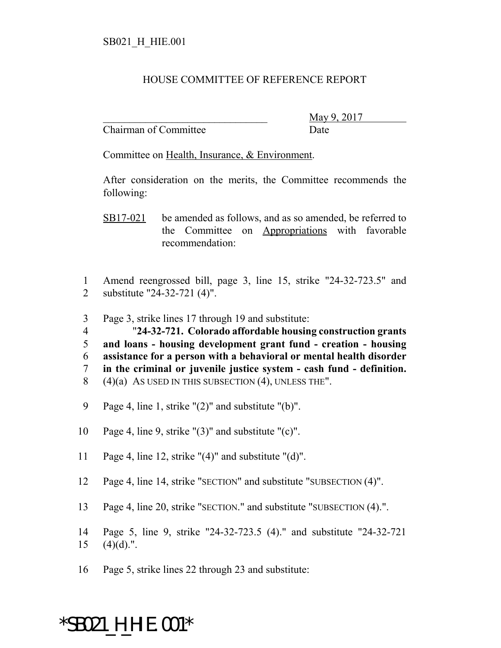## HOUSE COMMITTEE OF REFERENCE REPORT

Chairman of Committee Date

\_\_\_\_\_\_\_\_\_\_\_\_\_\_\_\_\_\_\_\_\_\_\_\_\_\_\_\_\_\_\_ May 9, 2017

Committee on Health, Insurance, & Environment.

After consideration on the merits, the Committee recommends the following:

- SB17-021 be amended as follows, and as so amended, be referred to the Committee on Appropriations with favorable recommendation:
- 1 Amend reengrossed bill, page 3, line 15, strike "24-32-723.5" and 2 substitute "24-32-721 (4)".
- 3 Page 3, strike lines 17 through 19 and substitute:

 "**24-32-721. Colorado affordable housing construction grants and loans - housing development grant fund - creation - housing assistance for a person with a behavioral or mental health disorder in the criminal or juvenile justice system - cash fund - definition.**  $(4)(a)$  As used in this subsection  $(4)$ , unless the".

- 9 Page 4, line 1, strike "(2)" and substitute "(b)".
- 10 Page 4, line 9, strike "(3)" and substitute "(c)".
- 11 Page 4, line 12, strike "(4)" and substitute "(d)".
- 12 Page 4, line 14, strike "SECTION" and substitute "SUBSECTION (4)".
- 13 Page 4, line 20, strike "SECTION." and substitute "SUBSECTION (4).".
- 14 Page 5, line 9, strike "24-32-723.5 (4)." and substitute "24-32-721  $15$   $(4)(d)$ .".
- 16 Page 5, strike lines 22 through 23 and substitute:

## \*SB021\_H\_HIE.001\*